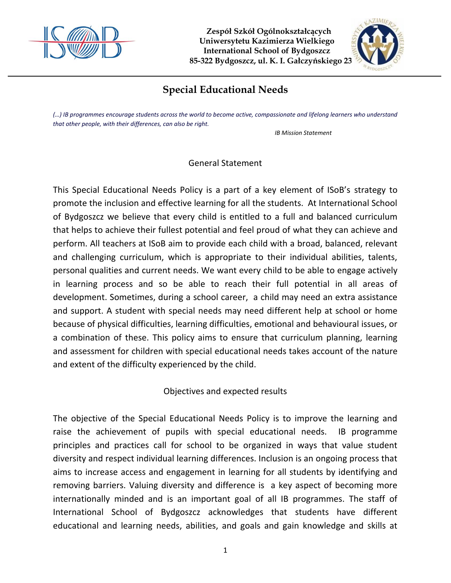



# **Special Educational Needs**

*(…) IB programmes encourage students across the world to become active, compassionate and lifelong learners who understand that other people, with their differences, can also be right.*

*IB Mission Statement*

General Statement

This Special Educational Needs Policy is a part of a key element of ISoB's strategy to promote the inclusion and effective learning for all the students. At International School of Bydgoszcz we believe that every child is entitled to a full and balanced curriculum that helps to achieve their fullest potential and feel proud of what they can achieve and perform. All teachers at ISoB aim to provide each child with a broad, balanced, relevant and challenging curriculum, which is appropriate to their individual abilities, talents, personal qualities and current needs. We want every child to be able to engage actively in learning process and so be able to reach their full potential in all areas of development. Sometimes, during a school career, a child may need an extra assistance and support. A student with special needs may need different help at school or home because of physical difficulties, learning difficulties, emotional and behavioural issues, or a combination of these. This policy aims to ensure that curriculum planning, learning and assessment for children with special educational needs takes account of the nature and extent of the difficulty experienced by the child.

Objectives and expected results

The objective of the Special Educational Needs Policy is to improve the learning and raise the achievement of pupils with special educational needs. IB programme principles and practices call for school to be organized in ways that value student diversity and respect individual learning differences. Inclusion is an ongoing process that aims to increase access and engagement in learning for all students by identifying and removing barriers. Valuing diversity and difference is a key aspect of becoming more internationally minded and is an important goal of all IB programmes. The staff of International School of Bydgoszcz acknowledges that students have different educational and learning needs, abilities, and goals and gain knowledge and skills at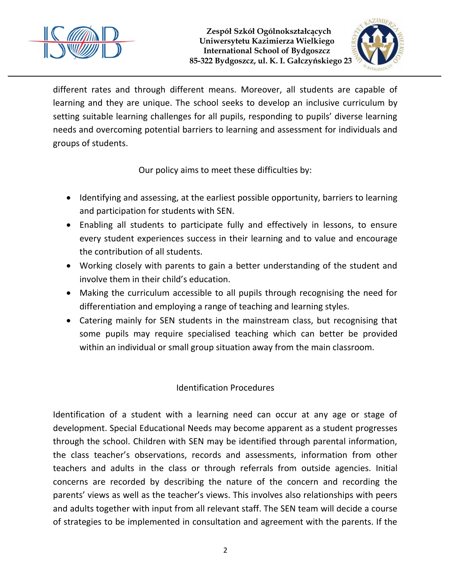



different rates and through different means. Moreover, all students are capable of learning and they are unique. The school seeks to develop an inclusive curriculum by setting suitable learning challenges for all pupils, responding to pupils' diverse learning needs and overcoming potential barriers to learning and assessment for individuals and groups of students.

Our policy aims to meet these difficulties by:

- Identifying and assessing, at the earliest possible opportunity, barriers to learning and participation for students with SEN.
- Enabling all students to participate fully and effectively in lessons, to ensure every student experiences success in their learning and to value and encourage the contribution of all students.
- Working closely with parents to gain a better understanding of the student and involve them in their child's education.
- Making the curriculum accessible to all pupils through recognising the need for differentiation and employing a range of teaching and learning styles.
- Catering mainly for SEN students in the mainstream class, but recognising that some pupils may require specialised teaching which can better be provided within an individual or small group situation away from the main classroom.

## Identification Procedures

Identification of a student with a learning need can occur at any age or stage of development. Special Educational Needs may become apparent as a student progresses through the school. Children with SEN may be identified through parental information, the class teacher's observations, records and assessments, information from other teachers and adults in the class or through referrals from outside agencies. Initial concerns are recorded by describing the nature of the concern and recording the parents' views as well as the teacher's views. This involves also relationships with peers and adults together with input from all relevant staff. The SEN team will decide a course of strategies to be implemented in consultation and agreement with the parents. If the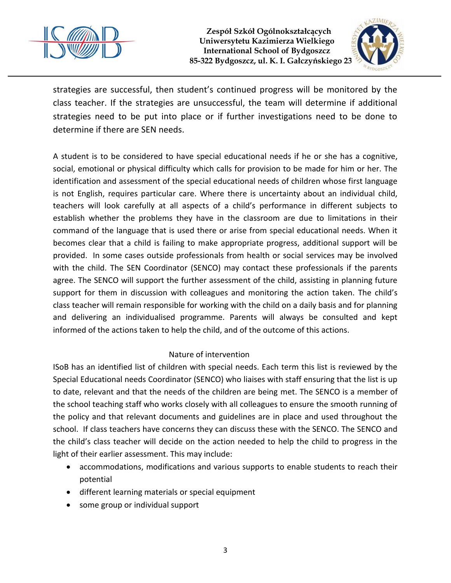



strategies are successful, then student's continued progress will be monitored by the class teacher. If the strategies are unsuccessful, the team will determine if additional strategies need to be put into place or if further investigations need to be done to determine if there are SEN needs.

A student is to be considered to have special educational needs if he or she has a cognitive, social, emotional or physical difficulty which calls for provision to be made for him or her. The identification and assessment of the special educational needs of children whose first language is not English, requires particular care. Where there is uncertainty about an individual child, teachers will look carefully at all aspects of a child's performance in different subjects to establish whether the problems they have in the classroom are due to limitations in their command of the language that is used there or arise from special educational needs. When it becomes clear that a child is failing to make appropriate progress, additional support will be provided. In some cases outside professionals from health or social services may be involved with the child. The SEN Coordinator (SENCO) may contact these professionals if the parents agree. The SENCO will support the further assessment of the child, assisting in planning future support for them in discussion with colleagues and monitoring the action taken. The child's class teacher will remain responsible for working with the child on a daily basis and for planning and delivering an individualised programme. Parents will always be consulted and kept informed of the actions taken to help the child, and of the outcome of this actions.

## Nature of intervention

ISoB has an identified list of children with special needs. Each term this list is reviewed by the Special Educational needs Coordinator (SENCO) who liaises with staff ensuring that the list is up to date, relevant and that the needs of the children are being met. The SENCO is a member of the school teaching staff who works closely with all colleagues to ensure the smooth running of the policy and that relevant documents and guidelines are in place and used throughout the school. If class teachers have concerns they can discuss these with the SENCO. The SENCO and the child's class teacher will decide on the action needed to help the child to progress in the light of their earlier assessment. This may include:

- accommodations, modifications and various supports to enable students to reach their potential
- different learning materials or special equipment
- some group or individual support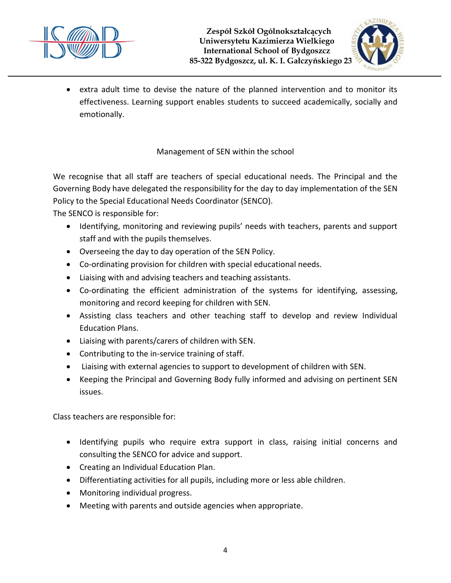



• extra adult time to devise the nature of the planned intervention and to monitor its effectiveness. Learning support enables students to succeed academically, socially and emotionally.

## Management of SEN within the school

We recognise that all staff are teachers of special educational needs. The Principal and the Governing Body have delegated the responsibility for the day to day implementation of the SEN Policy to the Special Educational Needs Coordinator (SENCO).

The SENCO is responsible for:

- Identifying, monitoring and reviewing pupils' needs with teachers, parents and support staff and with the pupils themselves.
- Overseeing the day to day operation of the SEN Policy.
- Co-ordinating provision for children with special educational needs.
- Liaising with and advising teachers and teaching assistants.
- Co-ordinating the efficient administration of the systems for identifying, assessing, monitoring and record keeping for children with SEN.
- Assisting class teachers and other teaching staff to develop and review Individual Education Plans.
- Liaising with parents/carers of children with SEN.
- Contributing to the in-service training of staff.
- Liaising with external agencies to support to development of children with SEN.
- Keeping the Principal and Governing Body fully informed and advising on pertinent SEN issues.

Class teachers are responsible for:

- Identifying pupils who require extra support in class, raising initial concerns and consulting the SENCO for advice and support.
- Creating an Individual Education Plan.
- Differentiating activities for all pupils, including more or less able children.
- Monitoring individual progress.
- Meeting with parents and outside agencies when appropriate.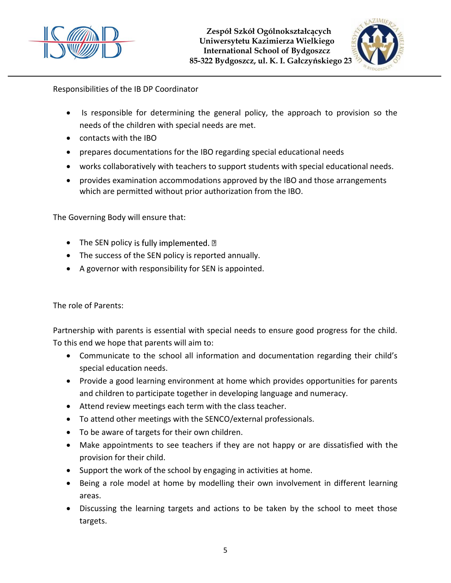



Responsibilities of the IB DP Coordinator

- Is responsible for determining the general policy, the approach to provision so the needs of the children with special needs are met.
- contacts with the IBO
- prepares documentations for the IBO regarding special educational needs
- works collaboratively with teachers to support students with special educational needs.
- provides examination accommodations approved by the IBO and those arrangements which are permitted without prior authorization from the IBO.

The Governing Body will ensure that:

- The SEN policy is fully implemented.  $\mathbb D$
- The success of the SEN policy is reported annually.
- A governor with responsibility for SEN is appointed.

The role of Parents:

Partnership with parents is essential with special needs to ensure good progress for the child. To this end we hope that parents will aim to:

- Communicate to the school all information and documentation regarding their child's special education needs.
- Provide a good learning environment at home which provides opportunities for parents and children to participate together in developing language and numeracy.
- Attend review meetings each term with the class teacher.
- To attend other meetings with the SENCO/external professionals.
- To be aware of targets for their own children.
- Make appointments to see teachers if they are not happy or are dissatisfied with the provision for their child.
- Support the work of the school by engaging in activities at home.
- Being a role model at home by modelling their own involvement in different learning areas.
- Discussing the learning targets and actions to be taken by the school to meet those targets.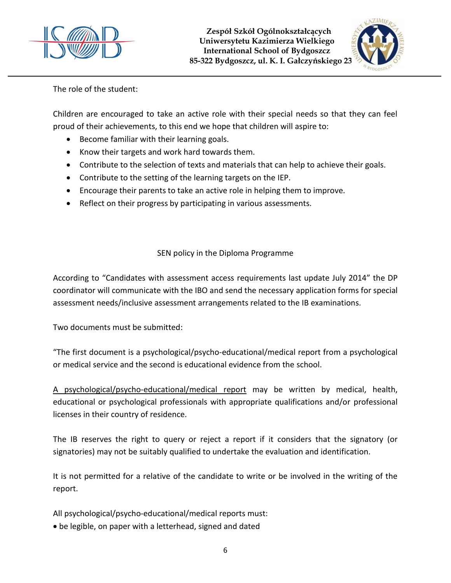



The role of the student:

Children are encouraged to take an active role with their special needs so that they can feel proud of their achievements, to this end we hope that children will aspire to:

- Become familiar with their learning goals.
- Know their targets and work hard towards them.
- Contribute to the selection of texts and materials that can help to achieve their goals.
- Contribute to the setting of the learning targets on the IEP.
- Encourage their parents to take an active role in helping them to improve.
- Reflect on their progress by participating in various assessments.

## SEN policy in the Diploma Programme

According to "Candidates with assessment access requirements last update July 2014" the DP coordinator will communicate with the IBO and send the necessary application forms for special assessment needs/inclusive assessment arrangements related to the IB examinations.

Two documents must be submitted:

"The first document is a psychological/psycho-educational/medical report from a psychological or medical service and the second is educational evidence from the school.

A psychological/psycho-educational/medical report may be written by medical, health, educational or psychological professionals with appropriate qualifications and/or professional licenses in their country of residence.

The IB reserves the right to query or reject a report if it considers that the signatory (or signatories) may not be suitably qualified to undertake the evaluation and identification.

It is not permitted for a relative of the candidate to write or be involved in the writing of the report.

All psychological/psycho-educational/medical reports must:

be legible, on paper with a letterhead, signed and dated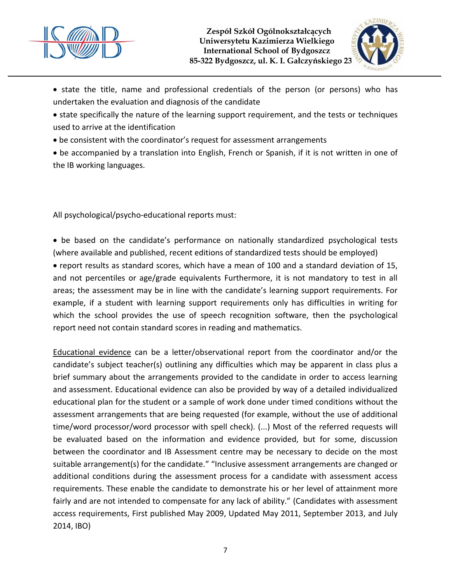



• state the title, name and professional credentials of the person (or persons) who has undertaken the evaluation and diagnosis of the candidate

• state specifically the nature of the learning support requirement, and the tests or techniques used to arrive at the identification

be consistent with the coordinator's request for assessment arrangements

 be accompanied by a translation into English, French or Spanish, if it is not written in one of the IB working languages.

All psychological/psycho-educational reports must:

• be based on the candidate's performance on nationally standardized psychological tests (where available and published, recent editions of standardized tests should be employed) report results as standard scores, which have a mean of 100 and a standard deviation of 15, and not percentiles or age/grade equivalents Furthermore, it is not mandatory to test in all areas; the assessment may be in line with the candidate's learning support requirements. For example, if a student with learning support requirements only has difficulties in writing for which the school provides the use of speech recognition software, then the psychological report need not contain standard scores in reading and mathematics.

Educational evidence can be a letter/observational report from the coordinator and/or the candidate's subject teacher(s) outlining any difficulties which may be apparent in class plus a brief summary about the arrangements provided to the candidate in order to access learning and assessment. Educational evidence can also be provided by way of a detailed individualized educational plan for the student or a sample of work done under timed conditions without the assessment arrangements that are being requested (for example, without the use of additional time/word processor/word processor with spell check). (...) Most of the referred requests will be evaluated based on the information and evidence provided, but for some, discussion between the coordinator and IB Assessment centre may be necessary to decide on the most suitable arrangement(s) for the candidate." "Inclusive assessment arrangements are changed or additional conditions during the assessment process for a candidate with assessment access requirements. These enable the candidate to demonstrate his or her level of attainment more fairly and are not intended to compensate for any lack of ability." (Candidates with assessment access requirements, First published May 2009, Updated May 2011, September 2013, and July 2014, IBO)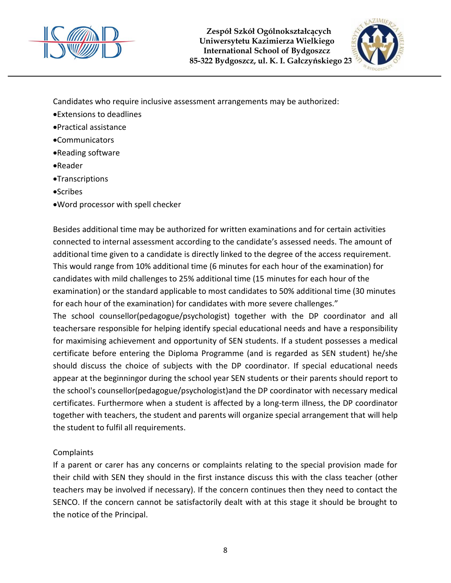



Candidates who require inclusive assessment arrangements may be authorized:

- Extensions to deadlines
- Practical assistance
- Communicators
- Reading software
- Reader
- **•Transcriptions**
- **•Scribes**
- Word processor with spell checker

Besides additional time may be authorized for written examinations and for certain activities connected to internal assessment according to the candidate's assessed needs. The amount of additional time given to a candidate is directly linked to the degree of the access requirement. This would range from 10% additional time (6 minutes for each hour of the examination) for candidates with mild challenges to 25% additional time (15 minutes for each hour of the examination) or the standard applicable to most candidates to 50% additional time (30 minutes for each hour of the examination) for candidates with more severe challenges."

The school counsellor(pedagogue/psychologist) together with the DP coordinator and all teachersare responsible for helping identify special educational needs and have a responsibility for maximising achievement and opportunity of SEN students. If a student possesses a medical certificate before entering the Diploma Programme (and is regarded as SEN student) he/she should discuss the choice of subjects with the DP coordinator. If special educational needs appear at the beginningor during the school year SEN students or their parents should report to the school's counsellor(pedagogue/psychologist)and the DP coordinator with necessary medical certificates. Furthermore when a student is affected by a long-term illness, the DP coordinator together with teachers, the student and parents will organize special arrangement that will help the student to fulfil all requirements.

## Complaints

If a parent or carer has any concerns or complaints relating to the special provision made for their child with SEN they should in the first instance discuss this with the class teacher (other teachers may be involved if necessary). If the concern continues then they need to contact the SENCO. If the concern cannot be satisfactorily dealt with at this stage it should be brought to the notice of the Principal.